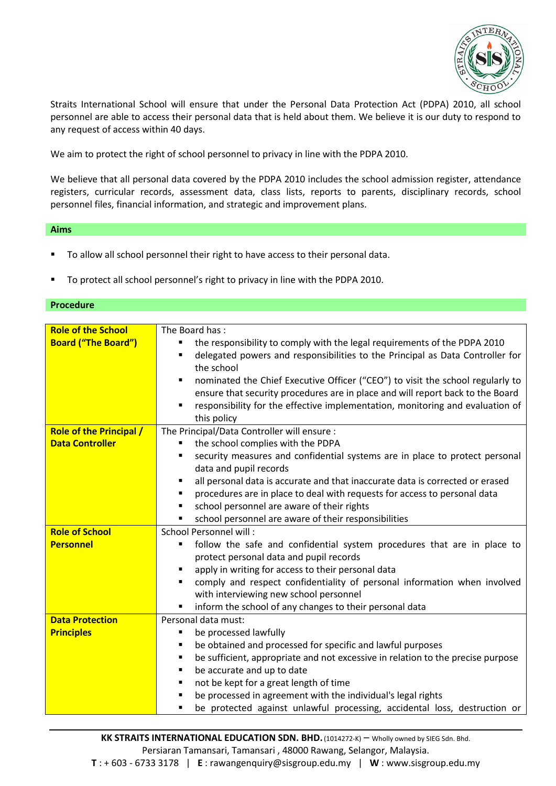

Straits International School will ensure that under the Personal Data Protection Act (PDPA) 2010, all school personnel are able to access their personal data that is held about them. We believe it is our duty to respond to any request of access within 40 days.

We aim to protect the right of school personnel to privacy in line with the PDPA 2010.

We believe that all personal data covered by the PDPA 2010 includes the school admission register, attendance registers, curricular records, assessment data, class lists, reports to parents, disciplinary records, school personnel files, financial information, and strategic and improvement plans.

## **Aims**

- To allow all school personnel their right to have access to their personal data.
- To protect all school personnel's right to privacy in line with the PDPA 2010.

## **Procedure**

| <b>Role of the School</b>      | The Board has:                                                                       |
|--------------------------------|--------------------------------------------------------------------------------------|
| <b>Board ("The Board")</b>     | the responsibility to comply with the legal requirements of the PDPA 2010            |
|                                | delegated powers and responsibilities to the Principal as Data Controller for        |
|                                | the school                                                                           |
|                                | nominated the Chief Executive Officer ("CEO") to visit the school regularly to       |
|                                | ensure that security procedures are in place and will report back to the Board       |
|                                | responsibility for the effective implementation, monitoring and evaluation of<br>٠   |
|                                | this policy                                                                          |
| <b>Role of the Principal /</b> | The Principal/Data Controller will ensure :                                          |
| <b>Data Controller</b>         | the school complies with the PDPA                                                    |
|                                | security measures and confidential systems are in place to protect personal          |
|                                | data and pupil records                                                               |
|                                | all personal data is accurate and that inaccurate data is corrected or erased<br>٠   |
|                                | procedures are in place to deal with requests for access to personal data            |
|                                | school personnel are aware of their rights                                           |
|                                | school personnel are aware of their responsibilities                                 |
| <b>Role of School</b>          | School Personnel will:                                                               |
| <b>Personnel</b>               | follow the safe and confidential system procedures that are in place to<br>п         |
|                                | protect personal data and pupil records                                              |
|                                | apply in writing for access to their personal data                                   |
|                                | comply and respect confidentiality of personal information when involved             |
|                                | with interviewing new school personnel                                               |
|                                | inform the school of any changes to their personal data                              |
| <b>Data Protection</b>         | Personal data must:                                                                  |
| <b>Principles</b>              | be processed lawfully                                                                |
|                                | be obtained and processed for specific and lawful purposes<br>٠                      |
|                                | be sufficient, appropriate and not excessive in relation to the precise purpose<br>٠ |
|                                | be accurate and up to date<br>$\blacksquare$                                         |
|                                | not be kept for a great length of time                                               |
|                                | be processed in agreement with the individual's legal rights                         |
|                                | be protected against unlawful processing, accidental loss, destruction or            |